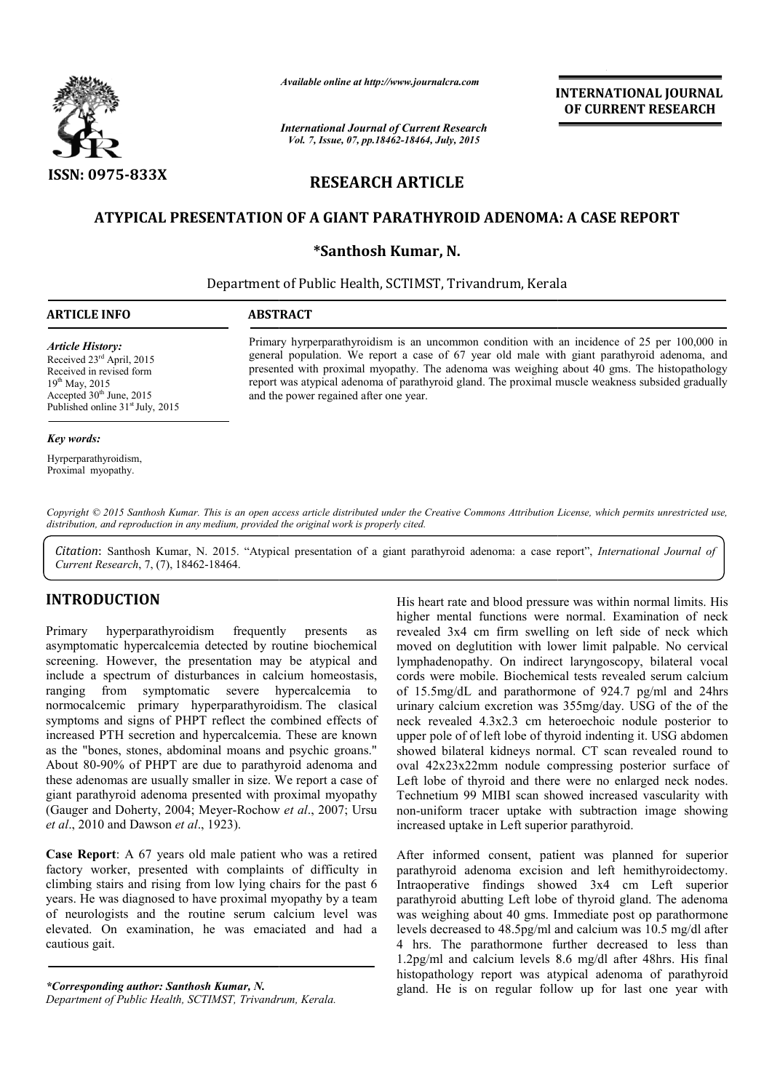

*Available online at http://www.journalcra.com*

*International Journal of Current Research Vol. 7, Issue, 07, pp.18462-18464, July, 2015*

**INTERNATIONAL INTERNATIONAL JOURNAL OF CURRENT RESEARCH** 

# **RESEARCH ARTICLE**

## **ATYPICAL PRESENTATION OF A GIANT PAR PARATHYROID ADENOMA: A CASE REPORT ATHYROID**

### **\*Santhosh Kumar, N.**

Department of Public Health, SCTIMST, Trivandrum, Kerala

*Article History:* Received 23rd April, 2015 Received in revised form 19th May, 2015 Accepted  $30<sup>th</sup>$  June, 2015 Published online 31<sup>st</sup> July, 2015

Primary hyrperparathyroidism is an uncommon condition with an incidence of 25 per 100,000 in general population. We report a case of 67 year old male with giant parathyroid adenoma, and general population. We report a case of 67 year old male with giant parathyroid adenoma, and presented with proximal myopathy. The adenoma was weighing about 40 gms. The histopathology report was atypical adenoma of parathyroid gland. The proximal muscle weakness subsided gradually and the power regained after one year. Available online at http://www.journalcra.com<br>
INTERN.<br>
INTERN.<br>
International Journal of Current Research<br>
Vol. 7, Issue, 07, pp.18462-18464, July, 2015<br>
INTERN<br>
INTERNET ARTICLE<br>
ION OF A GIANT PARATHYROID ADENOMA: A CAS

#### *Key words:*

Hyrperparathyroidism, Proximal myopathy.

Copyright © 2015 Santhosh Kumar. This is an open access article distributed under the Creative Commons Attribution License, which permits unrestricted use, *distribution, and reproduction in any medium, provided the original work is properly cited.*

Citation: Santhosh Kumar, N. 2015. "Atypical presentation of a giant parathyroid adenoma: a case report", *International Journal of Current Research*, 7, (7), 18462-18464.

## **INTRODUCTION**

Primary hyperparathyroidism frequently presents as asymptomatic hypercalcemia detected by routine biochemical screening. However, the presentation may be atypical and include a spectrum of disturbances in calcium homeostasis, ranging from symptomatic severe hypercalcemia to normocalcemic primary hyperparathyroidism. The clasical symptoms and signs of PHPT reflect the combined effects of increased PTH secretion and hypercalcemia. These are known as the "bones, stones, abdominal moans and psychic groans." About 80-90% of PHPT are due to parathyroid adenoma and these adenomas are usually smaller in size. We report a case of giant parathyroid adenoma presented with proximal myopathy (Gauger and Doherty, 2004; Meyer-Rochow et al., 2007; Ursu *et al*., 2010 and Dawson *et al*., 1923). 90% of PHPT are due to parathyroid adenoma and<br>omas are usually smaller in size. We report a case of<br>thyroid adenoma presented with proximal myopathy<br>nd Doherty, 2004; Meyer-Rochow *et al.*, 2007; Ursu

**Case Report**: A 67 years old male patient who was a retired factory worker, presented with complaints of difficulty in climbing stairs and rising from low lying chairs for the past 6 years. He was diagnosed to have proximal myopathy by a team of neurologists and the routine serum calcium level was elevated. On examination, he was emaciated and had a a cautious gait.

*\*Corresponding author: Santhosh Kumar, N.*

His heart rate and blood pressure was within normal limits. His higher mental functions were normal. Examination of neck revealed 3x4 cm firm swelling on left side of neck which moved on deglutition with lower limit palpable. No cervical lymphadenopathy. On indirect laryngoscopy, bilateral vocal cords were mobile. Biochemical tests revealed serum calcium of 15.5mg/dL and parathormone of 924.7 pg/ml and 24hrs urinary calcium excretion was 355mg/day. USG of the of the His heart rate and blood pressure was within normal limits. His higher mental functions were normal. Examination of neck revealed 3x4 cm firm swelling on left side of neck which moved on deglutition with lower limit palpab upper pole of of left lobe of thyroid indenting it. USG abdomen showed bilateral kidneys normal. CT scan revealed round to oval 42x23x22mm nodule compressing posterior surface of Left lobe of thyroid and there were no enlarged neck nodes. Technetium 99 MIBI scan showed increased vascularity with non-uniform tracer uptake with subtraction image showing increased uptake in Left superior parathyroid. upper pole of of left lobe of thyroid indenting it. USG abdomen<br>showed bilateral kidneys normal. CT scan revealed round to<br>oval 42x23x22mm nodule compressing posterior surface of<br>Left lobe of thyroid and there were no enla **INTERNATIONAL JOURNAL TOON ALL CORRENT RESEARCH OF CURRENT RESEARCH C64. July, 2015<br>
TICLE HYROID ADENOMA: A CASE REPORT TRESEARCH C64. July, 2015<br>
TICLE HYROID ADENOMA: A CASE REPORT TRESEARCH TRESEARCH TRESEARCH TRESEA** 

After informed consent, patient was planned for superior parathyroid adenoma excision and left hemithyroidectomy. Intraoperative findings showed 3x4 cm Left superior parathyroid abutting Left lobe of thyroid gland. The adenoma was weighing about 40 gms. Immediate post op parathormone levels decreased to 48.5pg/ml and calcium was 10.5 mg/dl after 4 hrs. The parathormone further decreased to less than 1.2pg/ml and calcium levels 8.6 mg/dl after 48hrs. His final histopathology report was atypical adenoma of parathyroid gland. He is on regular follow up for last one year with

*Department of Public Health, SCTIMST, Trivandrum, Kerala Kerala.*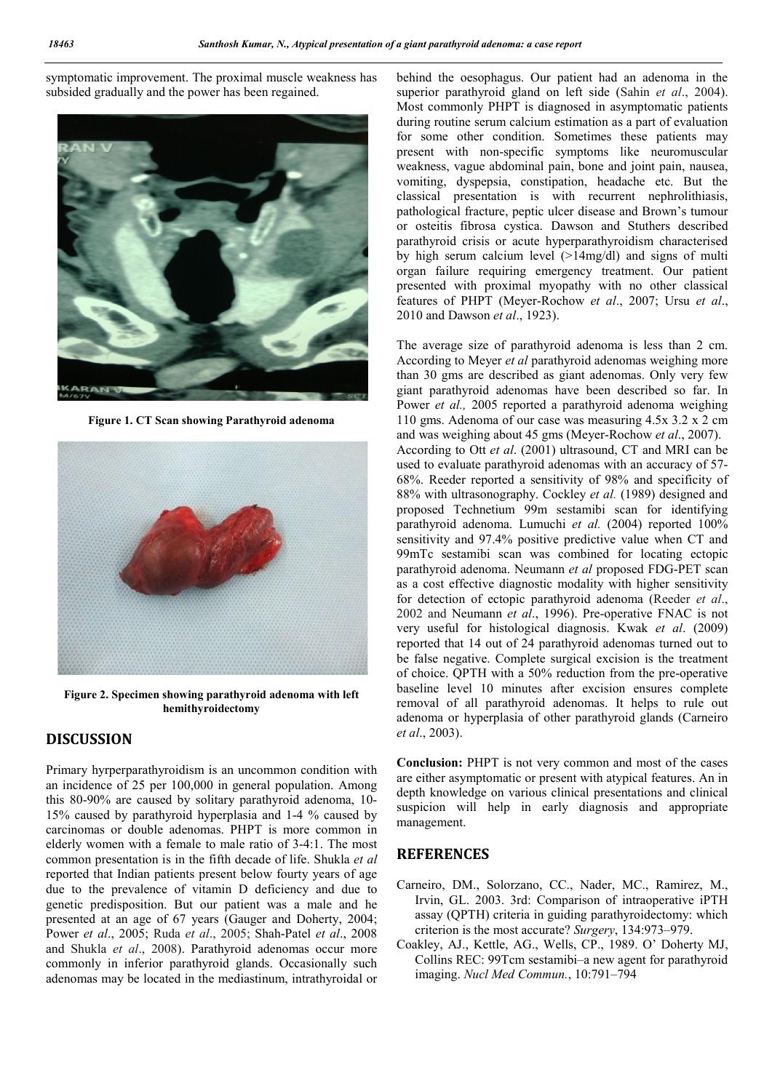symptomatic improvement. The proximal muscle weakness has subsided gradually and the power has been regained.



**Figure 1. CT Scan showing Parathyroid adenoma**



**Figure 2. Specimen showing parathyroid adenoma with left hemithyroidectomy**

## **DISCUSSION**

Primary hyrperparathyroidism is an uncommon condition with an incidence of 25 per 100,000 in general population. Among this 80-90% are caused by solitary parathyroid adenoma, 10- 15% caused by parathyroid hyperplasia and 1-4 % caused by carcinomas or double adenomas. PHPT is more common in elderly women with a female to male ratio of 3-4:1. The most common presentation is in the fifth decade of life. Shukla *et al* reported that Indian patients present below fourty years of age due to the prevalence of vitamin D deficiency and due to genetic predisposition. But our patient was a male and he presented at an age of 67 years (Gauger and Doherty, 2004; Power *et al*., 2005; Ruda *et al*., 2005; Shah-Patel *et al*., 2008 and Shukla *et al*., 2008). Parathyroid adenomas occur more commonly in inferior parathyroid glands. Occasionally such adenomas may be located in the mediastinum, intrathyroidal or

behind the oesophagus. Our patient had an adenoma in the superior parathyroid gland on left side (Sahin *et al*., 2004). Most commonly PHPT is diagnosed in asymptomatic patients during routine serum calcium estimation as a part of evaluation for some other condition. Sometimes these patients may present with non-specific symptoms like neuromuscular weakness, vague abdominal pain, bone and joint pain, nausea, vomiting, dyspepsia, constipation, headache etc. But the classical presentation is with recurrent nephrolithiasis, pathological fracture, peptic ulcer disease and Brown's tumour or osteitis fibrosa cystica. Dawson and Stuthers described parathyroid crisis or acute hyperparathyroidism characterised by high serum calcium level (>14mg/dl) and signs of multi organ failure requiring emergency treatment. Our patient presented with proximal myopathy with no other classical features of PHPT (Meyer-Rochow *et al*., 2007; Ursu *et al*., 2010 and Dawson *et al*., 1923).

The average size of parathyroid adenoma is less than 2 cm. According to Meyer *et al* parathyroid adenomas weighing more than 30 gms are described as giant adenomas. Only very few giant parathyroid adenomas have been described so far. In Power *et al.*, 2005 reported a parathyroid adenoma weighing 110 gms. Adenoma of our case was measuring 4.5x 3.2 x 2 cm and was weighing about 45 gms (Meyer-Rochow *et al*., 2007). According to Ott *et al*. (2001) ultrasound, CT and MRI can be used to evaluate parathyroid adenomas with an accuracy of 57- 68%. Reeder reported a sensitivity of 98% and specificity of 88% with ultrasonography. Cockley *et al.* (1989) designed and proposed Technetium 99m sestamibi scan for identifying parathyroid adenoma. Lumuchi *et al.* (2004) reported 100% sensitivity and 97.4% positive predictive value when CT and 99mTc sestamibi scan was combined for locating ectopic parathyroid adenoma. Neumann *et al* proposed FDG-PET scan as a cost effective diagnostic modality with higher sensitivity for detection of ectopic parathyroid adenoma (Reeder *et al*., 2002 and Neumann *et al*., 1996). Pre-operative FNAC is not very useful for histological diagnosis. Kwak *et al*. (2009) reported that 14 out of 24 parathyroid adenomas turned out to be false negative. Complete surgical excision is the treatment of choice. QPTH with a 50% reduction from the pre-operative baseline level 10 minutes after excision ensures complete removal of all parathyroid adenomas. It helps to rule out adenoma or hyperplasia of other parathyroid glands (Carneiro *et al*., 2003).

**Conclusion:** PHPT is not very common and most of the cases are either asymptomatic or present with atypical features. An in depth knowledge on various clinical presentations and clinical suspicion will help in early diagnosis and appropriate management.

### **REFERENCES**

- Carneiro, DM., Solorzano, CC., Nader, MC., Ramirez, M., Irvin, GL. 2003. 3rd: Comparison of intraoperative iPTH assay (QPTH) criteria in guiding parathyroidectomy: which criterion is the most accurate? *Surgery*, 134:973–979.
- Coakley, AJ., Kettle, AG., Wells, CP., 1989. O' Doherty MJ, Collins REC: 99Tcm sestamibi–a new agent for parathyroid imaging. *Nucl Med Commun.*, 10:791–794